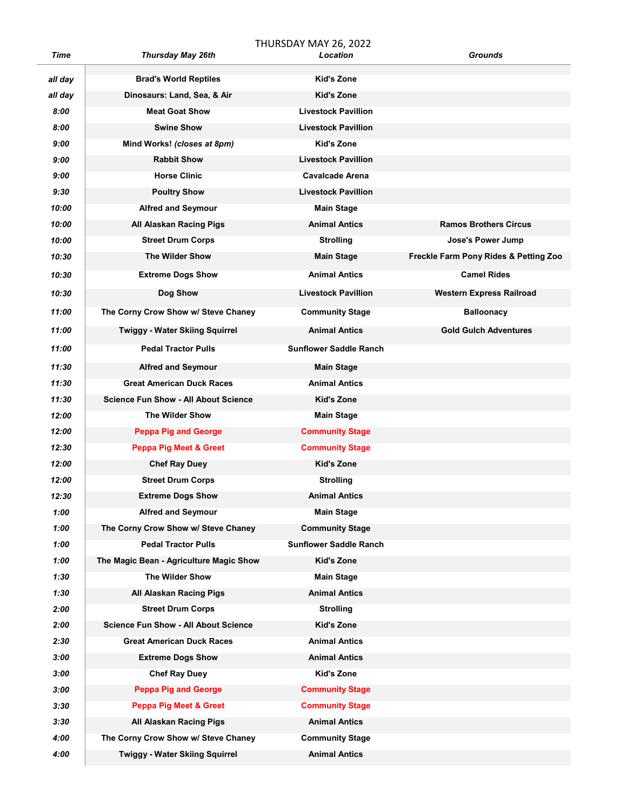THURSDAY MAY 26, 2022

| Time    | <b>Thursday May 26th</b>                    | Location                      | <b>Grounds</b>                        |
|---------|---------------------------------------------|-------------------------------|---------------------------------------|
| all day | <b>Brad's World Reptiles</b>                | Kid's Zone                    |                                       |
| all day | Dinosaurs: Land, Sea, & Air                 | <b>Kid's Zone</b>             |                                       |
| 8:00    | <b>Meat Goat Show</b>                       | <b>Livestock Pavillion</b>    |                                       |
| 8:00    | <b>Swine Show</b>                           | <b>Livestock Pavillion</b>    |                                       |
| 9:00    | Mind Works! (closes at 8pm)                 | Kid's Zone                    |                                       |
| 9:00    | <b>Rabbit Show</b>                          | <b>Livestock Pavillion</b>    |                                       |
| 9:00    | <b>Horse Clinic</b>                         | <b>Cavalcade Arena</b>        |                                       |
| 9:30    | <b>Poultry Show</b>                         | <b>Livestock Pavillion</b>    |                                       |
| 10:00   | <b>Alfred and Seymour</b>                   | <b>Main Stage</b>             |                                       |
| 10:00   | All Alaskan Racing Pigs                     | <b>Animal Antics</b>          | <b>Ramos Brothers Circus</b>          |
| 10:00   | <b>Street Drum Corps</b>                    | <b>Strolling</b>              | Jose's Power Jump                     |
| 10:30   | <b>The Wilder Show</b>                      | <b>Main Stage</b>             | Freckle Farm Pony Rides & Petting Zoo |
| 10:30   | <b>Extreme Dogs Show</b>                    | <b>Animal Antics</b>          | <b>Camel Rides</b>                    |
| 10:30   | Dog Show                                    | <b>Livestock Pavillion</b>    | <b>Western Express Railroad</b>       |
| 11:00   | The Corny Crow Show w/ Steve Chaney         | <b>Community Stage</b>        | <b>Balloonacy</b>                     |
| 11:00   | <b>Twiggy - Water Skiing Squirrel</b>       | <b>Animal Antics</b>          | <b>Gold Gulch Adventures</b>          |
| 11:00   | <b>Pedal Tractor Pulls</b>                  | <b>Sunflower Saddle Ranch</b> |                                       |
| 11:30   | <b>Alfred and Seymour</b>                   | <b>Main Stage</b>             |                                       |
| 11:30   | <b>Great American Duck Races</b>            | <b>Animal Antics</b>          |                                       |
| 11:30   | <b>Science Fun Show - All About Science</b> | Kid's Zone                    |                                       |
| 12:00   | <b>The Wilder Show</b>                      | <b>Main Stage</b>             |                                       |
| 12:00   | <b>Peppa Pig and George</b>                 | <b>Community Stage</b>        |                                       |
| 12:30   | <b>Peppa Pig Meet &amp; Greet</b>           | <b>Community Stage</b>        |                                       |
| 12:00   | <b>Chef Ray Duey</b>                        | <b>Kid's Zone</b>             |                                       |
| 12:00   | <b>Street Drum Corps</b>                    | <b>Strolling</b>              |                                       |
| 12:30   | <b>Extreme Dogs Show</b>                    | <b>Animal Antics</b>          |                                       |
| 1:00    | <b>Alfred and Seymour</b>                   | <b>Main Stage</b>             |                                       |
| 1:00    | The Corny Crow Show w/ Steve Chaney         | <b>Community Stage</b>        |                                       |
| 1:00    | <b>Pedal Tractor Pulls</b>                  | <b>Sunflower Saddle Ranch</b> |                                       |
| 1:00    | The Magic Bean - Agriculture Magic Show     | <b>Kid's Zone</b>             |                                       |
| 1:30    | The Wilder Show                             | <b>Main Stage</b>             |                                       |
| 1:30    | All Alaskan Racing Pigs                     | <b>Animal Antics</b>          |                                       |
| 2:00    | <b>Street Drum Corps</b>                    | <b>Strolling</b>              |                                       |
| 2:00    | <b>Science Fun Show - All About Science</b> | Kid's Zone                    |                                       |
| 2:30    | <b>Great American Duck Races</b>            | <b>Animal Antics</b>          |                                       |
| 3:00    | <b>Extreme Dogs Show</b>                    | <b>Animal Antics</b>          |                                       |
| 3:00    | <b>Chef Ray Duey</b>                        | Kid's Zone                    |                                       |
| 3:00    | <b>Peppa Pig and George</b>                 | <b>Community Stage</b>        |                                       |
| 3:30    | <b>Peppa Pig Meet &amp; Greet</b>           | <b>Community Stage</b>        |                                       |
| 3:30    | All Alaskan Racing Pigs                     | <b>Animal Antics</b>          |                                       |
| 4:00    | The Corny Crow Show w/ Steve Chaney         | <b>Community Stage</b>        |                                       |
| 4:00    | <b>Twiggy - Water Skiing Squirrel</b>       | <b>Animal Antics</b>          |                                       |